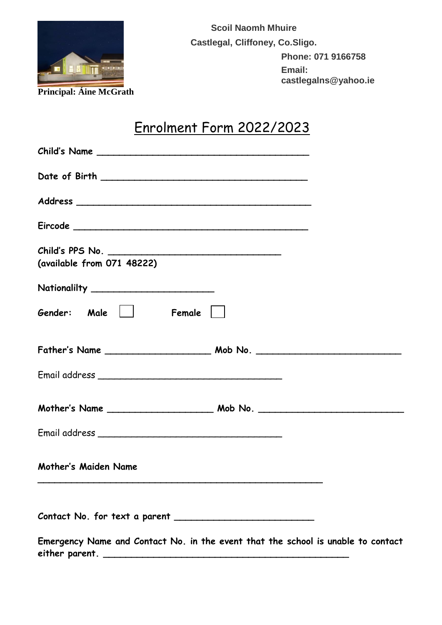

**Scoil Naomh Mhuire Castlegal, Cliffoney, Co.Sligo. Phone: 071 9166758 Email: castlegalns@yahoo.ie**

## Enrolment Form 2022/2023

| Child's Name                                                                     |  |
|----------------------------------------------------------------------------------|--|
|                                                                                  |  |
|                                                                                  |  |
|                                                                                  |  |
| (available from 071 48222)                                                       |  |
| Nationalilty __________________________                                          |  |
| Gender: Male    <br>$Female$                                                     |  |
|                                                                                  |  |
|                                                                                  |  |
|                                                                                  |  |
|                                                                                  |  |
| Mother's Maiden Name                                                             |  |
|                                                                                  |  |
| Emergency Name and Contact No. in the event that the school is unable to contact |  |